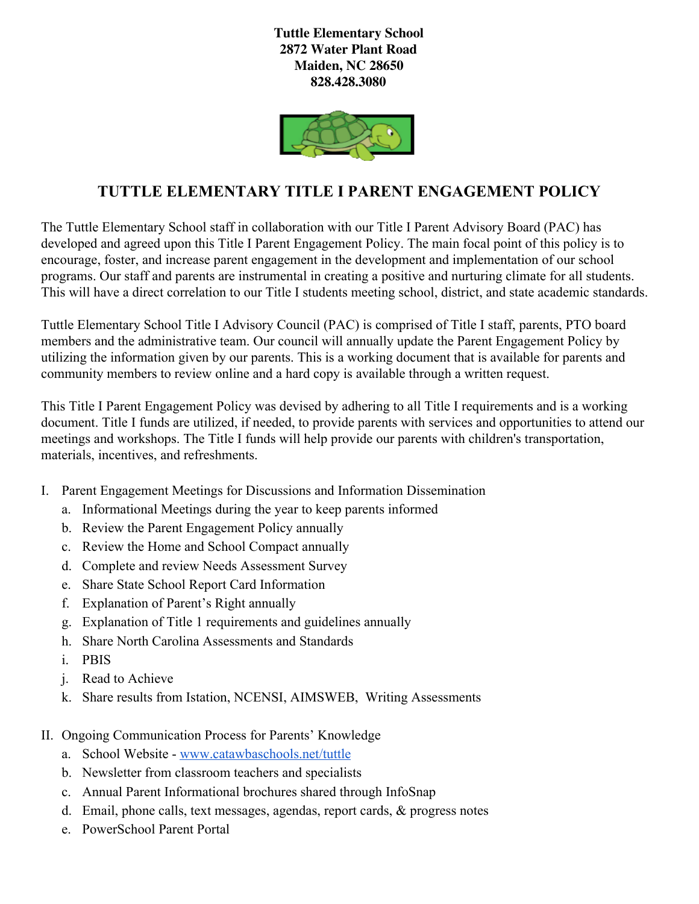**Tuttle Elementary School 2872 Water Plant Road Maiden, NC 28650 828.428.3080**



## **TUTTLE ELEMENTARY TITLE I PARENT ENGAGEMENT POLICY**

The Tuttle Elementary School staff in collaboration with our Title I Parent Advisory Board (PAC) has developed and agreed upon this Title I Parent Engagement Policy. The main focal point of this policy is to encourage, foster, and increase parent engagement in the development and implementation of our school programs. Our staff and parents are instrumental in creating a positive and nurturing climate for all students. This will have a direct correlation to our Title I students meeting school, district, and state academic standards.

Tuttle Elementary School Title I Advisory Council (PAC) is comprised of Title I staff, parents, PTO board members and the administrative team. Our council will annually update the Parent Engagement Policy by utilizing the information given by our parents. This is a working document that is available for parents and community members to review online and a hard copy is available through a written request.

This Title I Parent Engagement Policy was devised by adhering to all Title I requirements and is a working document. Title I funds are utilized, if needed, to provide parents with services and opportunities to attend our meetings and workshops. The Title I funds will help provide our parents with children's transportation, materials, incentives, and refreshments.

- I. Parent Engagement Meetings for Discussions and Information Dissemination
	- a. Informational Meetings during the year to keep parents informed
	- b. Review the Parent Engagement Policy annually
	- c. Review the Home and School Compact annually
	- d. Complete and review Needs Assessment Survey
	- e. Share State School Report Card Information
	- f. Explanation of Parent's Right annually
	- g. Explanation of Title 1 requirements and guidelines annually
	- h. Share North Carolina Assessments and Standards
	- i. PBIS
	- j. Read to Achieve
	- k. Share results from Istation, NCENSI, AIMSWEB, Writing Assessments
- II. Ongoing Communication Process for Parents' Knowledge
	- a. School Website [www.catawbaschools.net/tuttle](http://www.catawbaschools.net/tuttle)
	- b. Newsletter from classroom teachers and specialists
	- c. Annual Parent Informational brochures shared through InfoSnap
	- d. Email, phone calls, text messages, agendas, report cards, & progress notes
	- e. PowerSchool Parent Portal